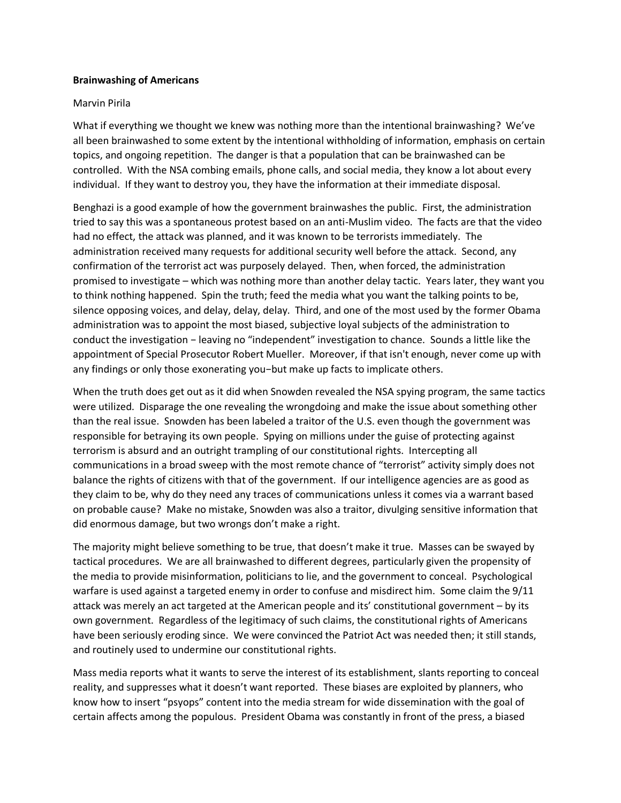## **Brainwashing of Americans**

## Marvin Pirila

What if everything we thought we knew was nothing more than the intentional brainwashing? We've all been brainwashed to some extent by the intentional withholding of information, emphasis on certain topics, and ongoing repetition. The danger is that a population that can be brainwashed can be controlled. With the NSA combing emails, phone calls, and social media, they know a lot about every individual. If they want to destroy you, they have the information at their immediate disposal.

Benghazi is a good example of how the government brainwashes the public. First, the administration tried to say this was a spontaneous protest based on an anti-Muslim video. The facts are that the video had no effect, the attack was planned, and it was known to be terrorists immediately. The administration received many requests for additional security well before the attack. Second, any confirmation of the terrorist act was purposely delayed. Then, when forced, the administration promised to investigate – which was nothing more than another delay tactic. Years later, they want you to think nothing happened. Spin the truth; feed the media what you want the talking points to be, silence opposing voices, and delay, delay, delay. Third, and one of the most used by the former Obama administration was to appoint the most biased, subjective loyal subjects of the administration to conduct the investigation − leaving no "independent" investigation to chance. Sounds a little like the appointment of Special Prosecutor Robert Mueller. Moreover, if that isn't enough, never come up with any findings or only those exonerating you−but make up facts to implicate others.

When the truth does get out as it did when Snowden revealed the NSA spying program, the same tactics were utilized. Disparage the one revealing the wrongdoing and make the issue about something other than the real issue. Snowden has been labeled a traitor of the U.S. even though the government was responsible for betraying its own people. Spying on millions under the guise of protecting against terrorism is absurd and an outright trampling of our constitutional rights. Intercepting all communications in a broad sweep with the most remote chance of "terrorist" activity simply does not balance the rights of citizens with that of the government. If our intelligence agencies are as good as they claim to be, why do they need any traces of communications unless it comes via a warrant based on probable cause? Make no mistake, Snowden was also a traitor, divulging sensitive information that did enormous damage, but two wrongs don't make a right.

The majority might believe something to be true, that doesn't make it true. Masses can be swayed by tactical procedures. We are all brainwashed to different degrees, particularly given the propensity of the media to provide misinformation, politicians to lie, and the government to conceal. Psychological warfare is used against a targeted enemy in order to confuse and misdirect him. Some claim the 9/11 attack was merely an act targeted at the American people and its' constitutional government – by its own government. Regardless of the legitimacy of such claims, the constitutional rights of Americans have been seriously eroding since. We were convinced the Patriot Act was needed then; it still stands, and routinely used to undermine our constitutional rights.

Mass media reports what it wants to serve the interest of its establishment, slants reporting to conceal reality, and suppresses what it doesn't want reported. These biases are exploited by planners, who know how to insert "psyops" content into the media stream for wide dissemination with the goal of certain affects among the populous. President Obama was constantly in front of the press, a biased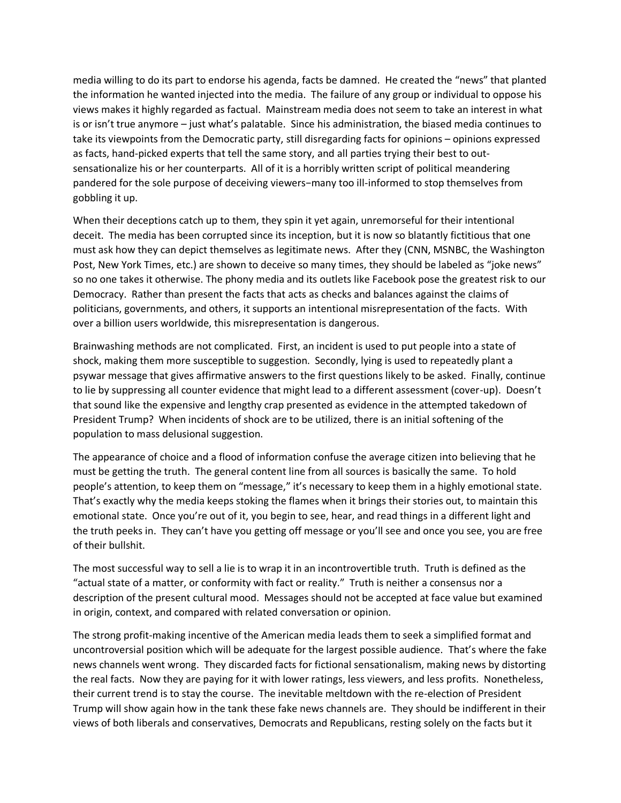media willing to do its part to endorse his agenda, facts be damned. He created the "news" that planted the information he wanted injected into the media. The failure of any group or individual to oppose his views makes it highly regarded as factual. Mainstream media does not seem to take an interest in what is or isn't true anymore – just what's palatable. Since his administration, the biased media continues to take its viewpoints from the Democratic party, still disregarding facts for opinions – opinions expressed as facts, hand-picked experts that tell the same story, and all parties trying their best to outsensationalize his or her counterparts. All of it is a horribly written script of political meandering pandered for the sole purpose of deceiving viewers−many too ill-informed to stop themselves from gobbling it up.

When their deceptions catch up to them, they spin it yet again, unremorseful for their intentional deceit. The media has been corrupted since its inception, but it is now so blatantly fictitious that one must ask how they can depict themselves as legitimate news. After they (CNN, MSNBC, the Washington Post, New York Times, etc.) are shown to deceive so many times, they should be labeled as "joke news" so no one takes it otherwise. The phony media and its outlets like Facebook pose the greatest risk to our Democracy. Rather than present the facts that acts as checks and balances against the claims of politicians, governments, and others, it supports an intentional misrepresentation of the facts. With over a billion users worldwide, this misrepresentation is dangerous.

Brainwashing methods are not complicated. First, an incident is used to put people into a state of shock, making them more susceptible to suggestion. Secondly, lying is used to repeatedly plant a psywar message that gives affirmative answers to the first questions likely to be asked. Finally, continue to lie by suppressing all counter evidence that might lead to a different assessment (cover-up). Doesn't that sound like the expensive and lengthy crap presented as evidence in the attempted takedown of President Trump? When incidents of shock are to be utilized, there is an initial softening of the population to mass delusional suggestion.

The appearance of choice and a flood of information confuse the average citizen into believing that he must be getting the truth. The general content line from all sources is basically the same. To hold people's attention, to keep them on "message," it's necessary to keep them in a highly emotional state. That's exactly why the media keeps stoking the flames when it brings their stories out, to maintain this emotional state. Once you're out of it, you begin to see, hear, and read things in a different light and the truth peeks in. They can't have you getting off message or you'll see and once you see, you are free of their bullshit.

The most successful way to sell a lie is to wrap it in an incontrovertible truth. Truth is defined as the "actual state of a matter, or conformity with fact or reality." Truth is neither a consensus nor a description of the present cultural mood. Messages should not be accepted at face value but examined in origin, context, and compared with related conversation or opinion.

The strong profit-making incentive of the American media leads them to seek a simplified format and uncontroversial position which will be adequate for the largest possible audience. That's where the fake news channels went wrong. They discarded facts for fictional sensationalism, making news by distorting the real facts. Now they are paying for it with lower ratings, less viewers, and less profits. Nonetheless, their current trend is to stay the course. The inevitable meltdown with the re-election of President Trump will show again how in the tank these fake news channels are. They should be indifferent in their views of both liberals and conservatives, Democrats and Republicans, resting solely on the facts but it